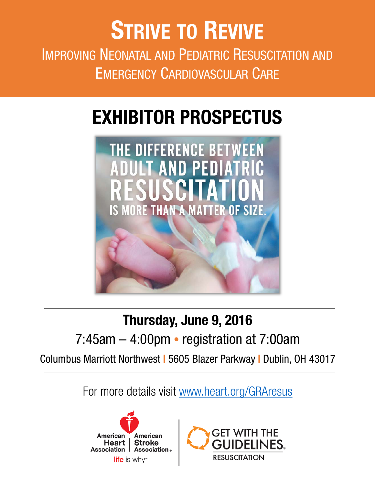# EXHIBITOR PROSPECTUS



### Thursday, June 9, 2016

### 7:45am – 4:00pm • registration at 7:00am

Columbus Marriott Northwest | 5605 Blazer Parkway | Dublin, OH 43017

For more details visit [www.heart.org/GRAresus](http://www.heart.org/GRAresus)



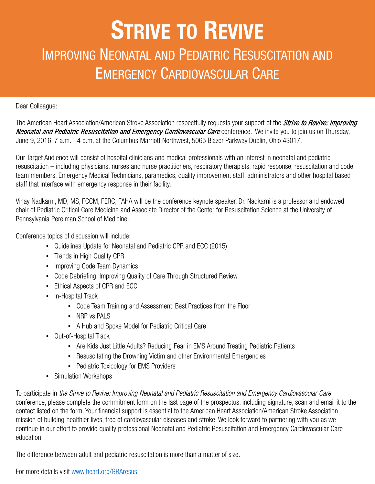Dear Colleague:

The American Heart Association/American Stroke Association respectfully requests your support of the *Strive to Revive: Improving* Neonatal and Pediatric Resuscitation and Emergency Cardiovascular Care conference. We invite you to join us on Thursday, June 9, 2016, 7 a.m. - 4 p.m. at the Columbus Marriott Northwest, 5065 Blazer Parkway Dublin, Ohio 43017.

Our Target Audience will consist of hospital clinicians and medical professionals with an interest in neonatal and pediatric resuscitation – including physicians, nurses and nurse practitioners, respiratory therapists, rapid response, resuscitation and code team members, Emergency Medical Technicians, paramedics, quality improvement staff, administrators and other hospital based staff that interface with emergency response in their facility.

Vinay Nadkarni, MD, MS, FCCM, FERC, FAHA will be the conference keynote speaker. Dr. Nadkarni is a professor and endowed chair of Pediatric Critical Care Medicine and Associate Director of the Center for Resuscitation Science at the University of Pennsylvania Perelman School of Medicine.

Conference topics of discussion will include:

- Guidelines Update for Neonatal and Pediatric CPR and ECC (2015)
- Trends in High Quality CPR
- Improving Code Team Dynamics
- Code Debriefing: Improving Quality of Care Through Structured Review
- Ethical Aspects of CPR and ECC
- In-Hospital Track
	- Code Team Training and Assessment: Best Practices from the Floor
	- NRP vs PALS
	- A Hub and Spoke Model for Pediatric Critical Care
- Out-of-Hospital Track
	- Are Kids Just Little Adults? Reducing Fear in EMS Around Treating Pediatric Patients
	- Resuscitating the Drowning Victim and other Environmental Emergencies
	- Pediatric Toxicology for EMS Providers
- Simulation Workshops

To participate in *the Strive to Revive: Improving Neonatal and Pediatric Resuscitation and Emergency Cardiovascular Care* conference, please complete the commitment form on the last page of the prospectus, including signature, scan and email it to the contact listed on the form. Your financial support is essential to the American Heart Association/American Stroke Association mission of building healthier lives, free of cardiovascular diseases and stroke. We look forward to partnering with you as we continue in our effort to provide quality professional Neonatal and Pediatric Resuscitation and Emergency Cardiovascular Care education.

The difference between adult and pediatric resuscitation is more than a matter of size.

For more details visit [www.heart.org/GRAresus](http://www.heart.org/GRAresus)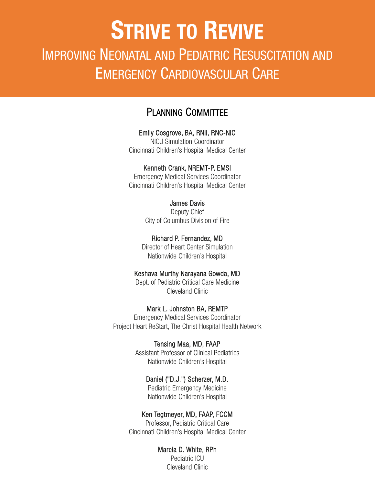### PLANNING COMMITTEE

#### Emily Cosgrove, BA, RNII, RNC-NIC

NICU Simulation Coordinator Cincinnati Children's Hospital Medical Center

#### Kenneth Crank, NREMT-P, EMSI

Emergency Medical Services Coordinator Cincinnati Children's Hospital Medical Center

#### James Davis

Deputy Chief City of Columbus Division of Fire

Richard P. Fernandez, MD Director of Heart Center Simulation

Nationwide Children's Hospital

#### Keshava Murthy Narayana Gowda, MD

Dept. of Pediatric Critical Care Medicine Cleveland Clinic

#### Mark L. Johnston BA, REMTP

Emergency Medical Services Coordinator Project Heart ReStart, The Christ Hospital Health Network

#### Tensing Maa, MD, FAAP

Assistant Professor of Clinical Pediatrics Nationwide Children's Hospital

#### Daniel ("D.J.") Scherzer, M.D. Pediatric Emergency Medicine

Nationwide Children's Hospital

#### Ken Tegtmeyer, MD, FAAP, FCCM

Professor, Pediatric Critical Care Cincinnati Children's Hospital Medical Center

#### Marcia D. White, RPh

Pediatric ICU Cleveland Clinic